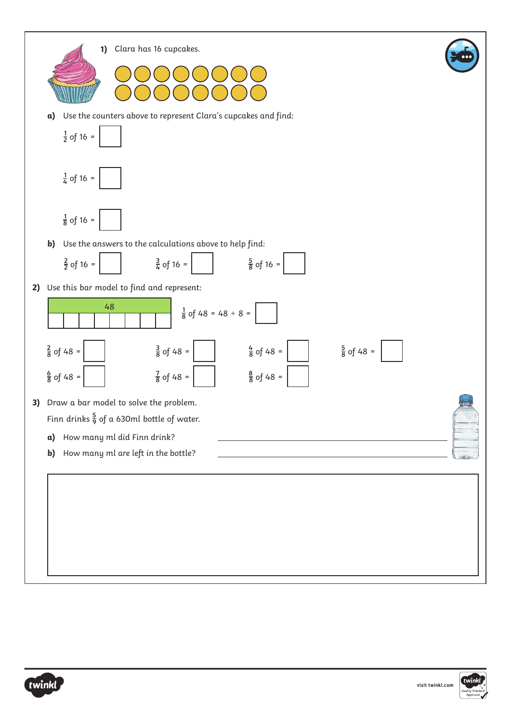



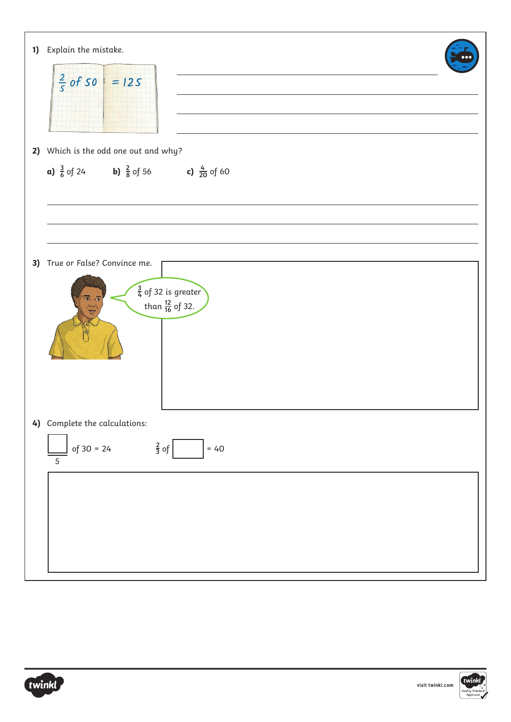| 1) | Explain the mistake.<br>$\frac{2}{5}$ of 50<br>$= 125$                                       |  |
|----|----------------------------------------------------------------------------------------------|--|
| 2) | Which is the odd one out and why?                                                            |  |
|    | <b>a)</b> $\frac{3}{6}$ of 24 <b>b)</b> $\frac{2}{8}$ of 56 <b>c)</b> $\frac{4}{20}$ of 60   |  |
|    |                                                                                              |  |
| 3) | True or False? Convince me.<br>$\frac{3}{4}$ of 32 is greater<br>than $\frac{12}{16}$ of 32. |  |
|    | 4) Complete the calculations:                                                                |  |
|    | $rac{2}{3}$ of<br>of 30 = 24<br>$= 40$<br>$\overline{5}$                                     |  |
|    |                                                                                              |  |